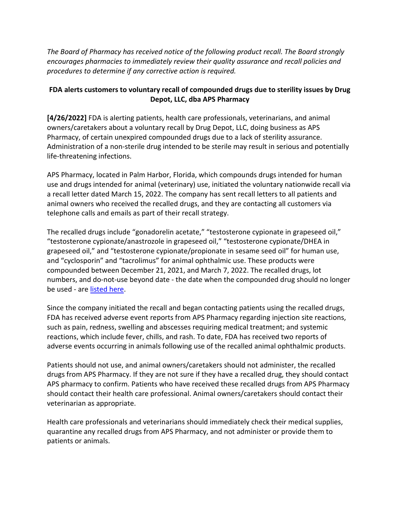*The Board of Pharmacy has received notice of the following product recall. The Board strongly encourages pharmacies to immediately review their quality assurance and recall policies and procedures to determine if any corrective action is required.* 

## **FDA alerts customers to voluntary recall of compounded drugs due to sterility issues by Drug Depot, LLC, dba APS Pharmacy**

 **[4/26/2022]** FDA is alerting patients, health care professionals, veterinarians, and animal Administration of a non-sterile drug intended to be sterile may result in serious and potentially owners/caretakers about a voluntary recall by Drug Depot, LLC, doing business as APS Pharmacy, of certain unexpired compounded drugs due to a lack of sterility assurance. life-threatening infections.

 APS Pharmacy, located in Palm Harbor, Florida, which compounds drugs intended for human telephone calls and emails as part of their recall strategy. use and drugs intended for animal (veterinary) use, initiated the voluntary nationwide recall via a recall letter dated March 15, 2022. The company has sent recall letters to all patients and animal owners who received the recalled drugs, and they are contacting all customers via

 compounded between December 21, 2021, and March 7, 2022. The recalled drugs, lot be used - are <u>listed here</u>. The recalled drugs include "gonadorelin acetate," "testosterone cypionate in grapeseed oil," "testosterone cypionate/anastrozole in grapeseed oil," "testosterone cypionate/DHEA in grapeseed oil," and "testosterone cypionate/propionate in sesame seed oil" for human use, and "cyclosporin" and "tacrolimus" for animal ophthalmic use. These products were numbers, and do-not-use beyond date - the date when the compounded drug should no longer

 Since the company initiated the recall and began contacting patients using the recalled drugs, FDA has received adverse event reports from APS Pharmacy regarding injection site reactions, adverse events occurring in animals following use of the recalled animal ophthalmic products. such as pain, redness, swelling and abscesses requiring medical treatment; and systemic reactions, which include fever, chills, and rash. To date, FDA has received two reports of

 Patients should not use, and animal owners/caretakers should not administer, the recalled drugs from APS Pharmacy. If they are not sure if they have a recalled drug, they should contact APS pharmacy to confirm. Patients who have received these recalled drugs from APS Pharmacy should contact their health care professional. Animal owners/caretakers should contact their veterinarian as appropriate.

Health care professionals and veterinarians should immediately check their medical supplies, quarantine any recalled drugs from APS Pharmacy, and not administer or provide them to patients or animals.